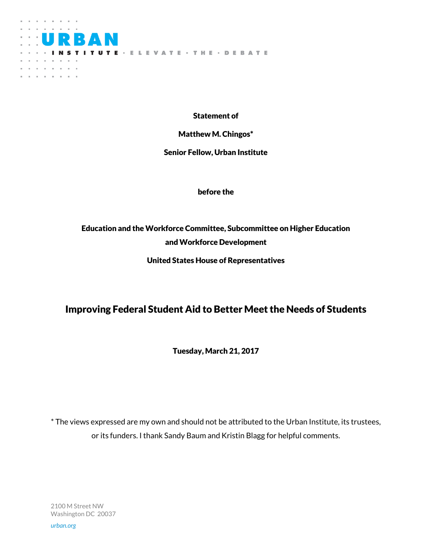

Statement of

Matthew M. Chingos\*

Senior Fellow, Urban Institute

before the

# Education and the Workforce Committee, Subcommittee on Higher Education and Workforce Development

United States House of Representatives

# Improving Federal Student Aid to Better Meet the Needs of Students

Tuesday, March 21, 2017

\* The views expressed are my own and should not be attributed to the Urban Institute, its trustees, or its funders. I thank Sandy Baum and Kristin Blagg for helpful comments.

2100 M Street NW Washington DC 20037

*urban.org*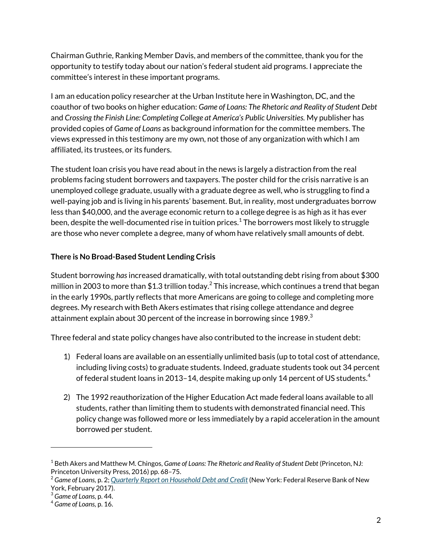Chairman Guthrie, Ranking Member Davis, and members of the committee, thank you for the opportunity to testify today about our nation's federal student aid programs. I appreciate the committee's interest in these important programs.

I am an education policy researcher at the Urban Institute here in Washington, DC, and the coauthor of two books on higher education: *Game of Loans: The Rhetoric and Reality of Student Debt*  and *Crossing the Finish Line: Completing College at America's Public Universities.* My publisher has provided copies of *Game of Loans* as background information for the committee members. The views expressed in this testimony are my own, not those of any organization with which I am affiliated, its trustees, or its funders.

The student loan crisis you have read about in the news is largely a distraction from the real problems facing student borrowers and taxpayers. The poster child for the crisis narrative is an unemployed college graduate, usually with a graduate degree as well, who is struggling to find a well-paying job and is living in his parents' basement. But, in reality, most undergraduates borrow less than \$40,000, and the average economic return to a college degree is as high as it has ever been, despite the well-documented rise in tuition prices. $^{\rm 1}$  The borrowers most likely to struggle are those who never complete a degree, many of whom have relatively small amounts of debt.

## **There is No Broad-Based Student Lending Crisis**

Student borrowing *has*increased dramatically, with total outstanding debt rising from about \$300 million in 2003 to more than \$1.3 trillion today. $^2$  This increase, which continues a trend that began in the early 1990s, partly reflects that more Americans are going to college and completing more degrees. My research with Beth Akers estimates that rising college attendance and degree attainment explain about 30 percent of the increase in borrowing since 1989. $3$ 

Three federal and state policy changes have also contributed to the increase in student debt:

- 1) Federal loans are available on an essentially unlimited basis (up to total cost of attendance, including living costs) to graduate students. Indeed, graduate students took out 34 percent of federal student loans in 2013–14, despite making up only 14 percent of US students.<sup>4</sup>
- 2) The 1992 reauthorization of the Higher Education Act made federal loans available to all students, rather than limiting them to students with demonstrated financial need. This policy change was followed more or less immediately by a rapid acceleration in the amount borrowed per student.

 $\overline{a}$ 

<sup>1</sup> Beth Akers and Matthew M. Chingos, *Game of Loans: The Rhetoric and Reality of Student Debt* (Princeton, NJ: Princeton University Press, 2016) pp. 68–75.

<sup>2</sup> *Game of Loans,* p. 2; *[Quarterly Report on Household Debt and Credit](https://www.newyorkfed.org/medialibrary/interactives/householdcredit/data/pdf/HHDC_2016Q4.pdf)* (New York: Federal Reserve Bank of New York, February 2017).

<sup>3</sup> *Game of Loans,* p. 44.

<sup>4</sup> *Game of Loans,* p. 16.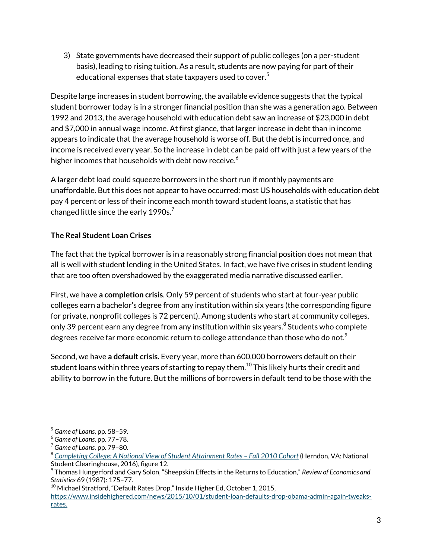3) State governments have decreased their support of public colleges (on a per-student basis), leading to rising tuition. As a result, students are now paying for part of their educational expenses that state taxpayers used to cover. $5$ 

Despite large increases in student borrowing, the available evidence suggests that the typical student borrower today is in a stronger financial position than she was a generation ago. Between 1992 and 2013, the average household with education debt saw an increase of \$23,000 in debt and \$7,000 in annual wage income. At first glance, that larger increase in debt than in income appears to indicate that the average household is worse off. But the debt is incurred once, and income is received every year. So the increase in debt can be paid off with just a few years of the higher incomes that households with debt now receive.<sup>6</sup>

A larger debt load could squeeze borrowers in the short run if monthly payments are unaffordable. But this does not appear to have occurred: most US households with education debt pay 4 percent or less of their income each month toward student loans, a statistic that has changed little since the early 1990s. $^7$ 

# **The Real Student Loan Crises**

The fact that the typical borrower is in a reasonably strong financial position does not mean that all is well with student lending in the United States. In fact, we have five crises in student lending that are too often overshadowed by the exaggerated media narrative discussed earlier.

First, we have **a completion crisis**. Only 59 percent of students who start at four-year public colleges earn a bachelor's degree from any institution within six years (the corresponding figure for private, nonprofit colleges is 72 percent). Among students who start at community colleges, only 39 percent earn any degree from any institution within six years. $^8$  Students who complete degrees receive far more economic return to college attendance than those who do not. $^{\text{9}}$ 

Second, we have **a default crisis.** Every year, more than 600,000 borrowers default on their student loans within three years of starting to repay them. $^{10}$  This likely hurts their credit and ability to borrow in the future. But the millions of borrowers in default tend to be those with the

 $\overline{a}$ 

 $^{10}$  Michael Stratford, "Default Rates Drop," Inside Higher Ed, October 1, 2015,

<sup>5</sup> *Game of Loans,* pp. 58–59.

<sup>6</sup> *Game of Loans,* pp. 77–78.

<sup>7</sup> *Game of Loans,* pp. 79–80.

<sup>8</sup> [Completing College: A National View of Student Attainment Rates](https://nscresearchcenter.org/wp-content/uploads/SignatureReport12.pdf) - Fall 2010 Cohort (Herndon, VA: National Student Clearinghouse, 2016), figure 12.

<sup>9</sup> Thomas Hungerford and Gary Solon, "Sheepskin Effects in the Returns to Education," *Review of Economics and Statistics* 69 (1987): 175–77.

[https://www.insidehighered.com/news/2015/10/01/student-loan-defaults-drop-obama-admin-again-tweaks](https://www.insidehighered.com/news/2015/10/01/student-loan-defaults-drop-obama-admin-again-tweaks-rates)[rates.](https://www.insidehighered.com/news/2015/10/01/student-loan-defaults-drop-obama-admin-again-tweaks-rates)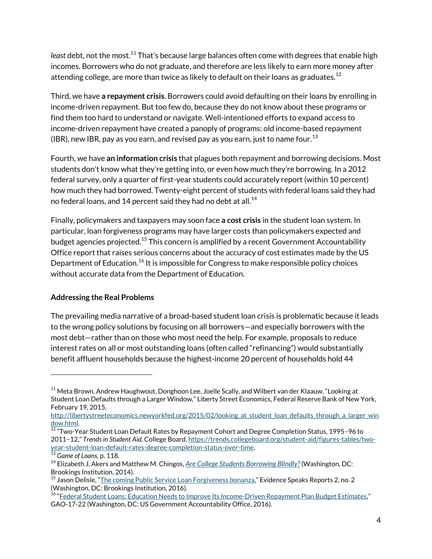least debt, not the most.<sup>11</sup> That's because large balances often come with degrees that enable high incomes. Borrowers who do not graduate, and therefore are less likely to earn more money after attending college, are more than twice as likely to default on their loans as graduates.<sup>12</sup>

Third, we have **a repayment crisis**. Borrowers could avoid defaulting on their loans by enrolling in income-driven repayment. But too few do, because they do not know about these programs or find them too hard to understand or navigate. Well-intentioned efforts to expand access to income-driven repayment have created a panoply of programs: old income-based repayment (IBR), new IBR, pay as you earn, and revised pay as you earn, just to name four.<sup>13</sup>

Fourth, we have **an information crisis** that plagues both repayment and borrowing decisions. Most students don't know what they're getting into, or even how much they're borrowing. In a 2012 federal survey, only a quarter of first-year students could accurately report (within 10 percent) how much they had borrowed. Twenty-eight percent of students with federal loans said they had no federal loans, and 14 percent said they had no debt at all.<sup>14</sup>

Finally, policymakers and taxpayers may soon face **a cost crisis** in the student loan system. In particular, loan forgiveness programs may have larger costs than policymakers expected and budget agencies projected.<sup>15</sup> This concern is amplified by a recent Government Accountability Office report that raises serious concerns about the accuracy of cost estimates made by the US Department of Education.<sup>16</sup> It is impossible for Congress to make responsible policy choices without accurate data from the Department of Education.

#### **Addressing the Real Problems**

The prevailing media narrative of a broad-based student loan crisis is problematic because it leads to the wrong policy solutions by focusing on all borrowers—and especially borrowers with the most debt—rather than on those who most need the help. For example, proposals to reduce interest rates on all or most outstanding loans (often called "refinancing") would substantially benefit affluent households because the highest-income 20 percent of households hold 44

 $\overline{a}$ 

 $11$  Meta Brown, Andrew Haughwout, Donghoon Lee, Joelle Scally, and Wilbert van der Klaauw, "Looking at Student Loan Defaults through a Larger Window," Liberty Street Economics, Federal Reserve Bank of New York, February 19, 2015,

http://libertystreeteconomics.newyorkfed.org/2015/02/looking at student loan defaults through a larger win [dow.html.](http://libertystreeteconomics.newyorkfed.org/2015/02/looking_at_student_loan_defaults_through_a_larger_window.html) 

 $12$  "Two-Year Student Loan Default Rates by Repayment Cohort and Degree Completion Status, 1995–96 to 2011–12," *Trends in Student Aid,* College Board[, https://trends.collegeboard.org/student-aid/figures-tables/two](https://trends.collegeboard.org/student-aid/figures-tables/two-year-student-loan-default-rates-degree-completion-status-over-time)[year-student-loan-default-rates-degree-completion-status-over-time.](https://trends.collegeboard.org/student-aid/figures-tables/two-year-student-loan-default-rates-degree-completion-status-over-time) 

<sup>13</sup> *Game of Loans,* p. 118.

<sup>14</sup> Elizabeth J. Akers and Matthew M. Chingos, *[Are College Students Borrowing Blindly?](http://www.brookings.edu/~/media/research/files/reports/2014/12/10-borrowing-blindly/are-college-students-borrowing-blindly_dec-2014.pdf)* (Washington, DC: Brookings Institution, 2014).

<sup>&</sup>lt;sup>15</sup> Jason Delisle, "<u>[The coming Public Service Loan Forgiveness bonanza](https://www.brookings.edu/research/the-coming-public-service-loan-forgiveness-bonanza/),</u>" Evidence Speaks Reports 2, no. 2

<sup>(</sup>Washington, DC: Brookings Institution, 2016).<br><sup>16</sup> "<u>[Federal Student Loans: Education Needs to Improve Its Income-Driven Repayment Plan Budget Estimates](http://www.gao.gov/products/GAO-17-22),"</u> GAO-17-22 (Washington, DC: US Government Accountability Office, 2016).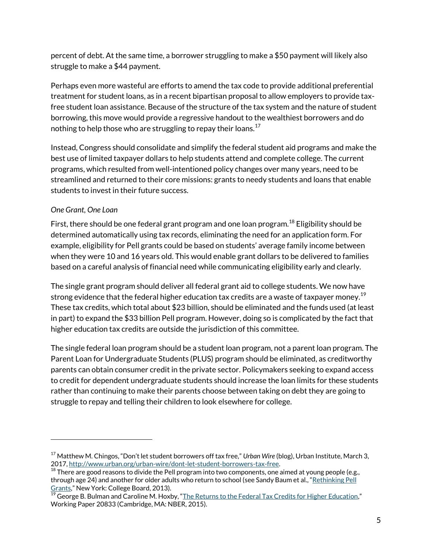percent of debt. At the same time, a borrower struggling to make a \$50 payment will likely also struggle to make a \$44 payment.

Perhaps even more wasteful are efforts to amend the tax code to provide additional preferential treatment for student loans, as in a recent bipartisan proposal to allow employers to provide taxfree student loan assistance. Because of the structure of the tax system and the nature of student borrowing, this move would provide a regressive handout to the wealthiest borrowers and do nothing to help those who are struggling to repay their loans.<sup>17</sup>

Instead, Congress should consolidate and simplify the federal student aid programs and make the best use of limited taxpayer dollars to help students attend and complete college. The current programs, which resulted from well-intentioned policy changes over many years, need to be streamlined and returned to their core missions: grants to needy students and loans that enable students to invest in their future success.

## *One Grant, One Loan*

 $\overline{a}$ 

First, there should be one federal grant program and one loan program.<sup>18</sup> Eligibility should be determined automatically using tax records, eliminating the need for an application form. For example, eligibility for Pell grants could be based on students' average family income between when they were 10 and 16 years old. This would enable grant dollars to be delivered to families based on a careful analysis of financial need while communicating eligibility early and clearly.

The single grant program should deliver all federal grant aid to college students. We now have strong evidence that the federal higher education tax credits are a waste of taxpayer money.<sup>19</sup> These tax credits, which total about \$23 billion, should be eliminated and the funds used (at least in part) to expand the \$33 billion Pell program. However, doing so is complicated by the fact that higher education tax credits are outside the jurisdiction of this committee.

The single federal loan program should be a student loan program, not a parent loan program. The Parent Loan for Undergraduate Students (PLUS) program should be eliminated, as creditworthy parents can obtain consumer credit in the private sector. Policymakers seeking to expand access to credit for dependent undergraduate students should increase the loan limits for these students rather than continuing to make their parents choose between taking on debt they are going to struggle to repay and telling their children to look elsewhere for college.

<sup>17</sup> Matthew M. Chingos, "Don't let student borrowers off tax free," *Urban Wire* (blog), Urban Institute, March 3, 2017[, http://www.urban.org/urban-wire/dont-let-student-borrowers-tax-free.](http://www.urban.org/urban-wire/dont-let-student-borrowers-tax-free) 

<sup>&</sup>lt;sup>18</sup> There are good reasons to divide the Pell program into two components, one aimed at young people (e.g., through age 24) and another for older adults who return to school (see Sandy Baum et al., "Rethinking Pell [Grants](http://media.collegeboard.com/digitalServices/pdf/advocacy/policycenter/advocacy-rethinking-pell-grants-brief.pdf)," New York: College Board, 2013).

 $^{19}$  George B. Bulman and Caroline M. Hoxby, "<u>[The Returns to the Federal Tax Credits for Higher Education](http://www.nber.org/papers/w20833)</u>," Working Paper 20833 (Cambridge, MA: NBER, 2015).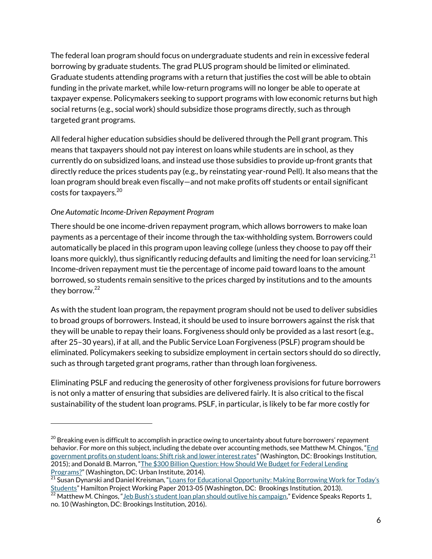The federal loan program should focus on undergraduate students and rein in excessive federal borrowing by graduate students. The grad PLUS program should be limited or eliminated. Graduate students attending programs with a return that justifies the cost will be able to obtain funding in the private market, while low-return programs will no longer be able to operate at taxpayer expense. Policymakers seeking to support programs with low economic returns but high social returns (e.g., social work) should subsidize those programs directly, such as through targeted grant programs.

All federal higher education subsidies should be delivered through the Pell grant program. This means that taxpayers should not pay interest on loans while students are in school, as they currently do on subsidized loans, and instead use those subsidies to provide up-front grants that directly reduce the prices students pay (e.g., by reinstating year-round Pell). It also means that the loan program should break even fiscally—and not make profits off students or entail significant costs for taxpayers. $20$ 

### *One Automatic Income-Driven Repayment Program*

 $\overline{a}$ 

There should be one income-driven repayment program, which allows borrowers to make loan payments as a percentage of their income through the tax-withholding system. Borrowers could automatically be placed in this program upon leaving college (unless they choose to pay off their loans more quickly), thus significantly reducing defaults and limiting the need for loan servicing.<sup>21</sup> Income-driven repayment must tie the percentage of income paid toward loans to the amount borrowed, so students remain sensitive to the prices charged by institutions and to the amounts they borrow.<sup>22</sup>

As with the student loan program, the repayment program should not be used to deliver subsidies to broad groups of borrowers. Instead, it should be used to insure borrowers against the risk that they will be unable to repay their loans. Forgiveness should only be provided as a last resort (e.g., after 25–30 years), if at all, and the Public Service Loan Forgiveness (PSLF) program should be eliminated. Policymakers seeking to subsidize employment in certain sectors should do so directly, such as through targeted grant programs, rather than through loan forgiveness.

Eliminating PSLF and reducing the generosity of other forgiveness provisions for future borrowers is not only a matter of ensuring that subsidies are delivered fairly. It is also critical to the fiscal sustainability of the student loan programs. PSLF, in particular, is likely to be far more costly for

 $^{20}$  Breaking even is difficult to accomplish in practice owing to uncertainty about future borrowers' repayment behavior. For more on this subject, including the debate over accounting methods, see Matthew M. Chingos, "End [government profits on student loans: Shift risk and lower interest rates](http://www.brookings.edu/research/papers/2015/04/30-government-profit-loans-chingos)" (Washington, DC: Brookings Institution, 2015); and Donald B. Marron, "[The \\$300 Billion Question: How Should We Budget for Federal Lending](http://www.urban.org/sites/default/files/publication/23016/413244-The-Billion-Question-How-Should-We-Budget-for-Federal-Lending-Programs-.PDF)  [Programs?](http://www.urban.org/sites/default/files/publication/23016/413244-The-Billion-Question-How-Should-We-Budget-for-Federal-Lending-Programs-.PDF)" (Washington, DC: Urban Institute, 2014).

<sup>&</sup>lt;sup>21</sup> Susan Dynarski and Daniel Kreisman, "Loans for Educational Opportunity: Making Borrowing Work for Today's [Students](http://www.hamiltonproject.org/files/downloads_and_links/THP_DynarskiDiscPaper_Final.pdf)" Hamilton Project Working Paper 2013-05 (Washington, DC: Brookings Institution, 2013).

 $^{22}$  Matthew M. Chingos, ["Jeb Bush's student loan plan should outlive his campaign,"](https://www.brookings.edu/research/jeb-bushs-student-loan-plan-should-outlive-his-campaign/) Evidence Speaks Reports 1, no. 10 (Washington, DC: Brookings Institution, 2016).